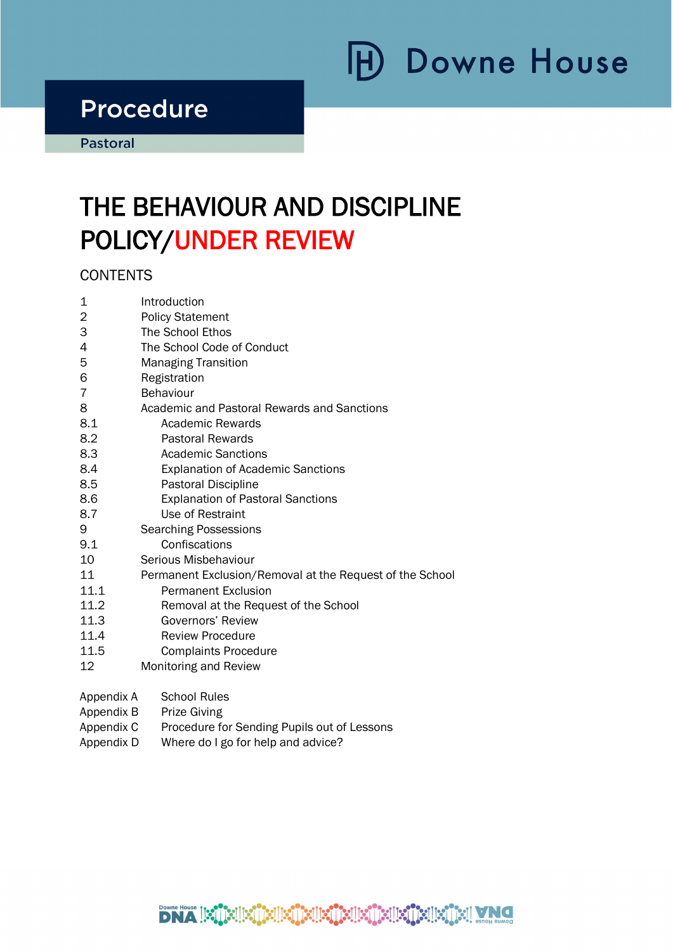# H) Downe House

# Procedure<br>Pastoral

i

## THE BEHAVIOUR AND DISCIPLINE POLICY/UNDER REVIEW

**CONTENTS** 

| 1    | Introduction                                             |  |  |  |  |
|------|----------------------------------------------------------|--|--|--|--|
| 2    | <b>Policy Statement</b>                                  |  |  |  |  |
| 3    | The School Ethos                                         |  |  |  |  |
| 4    | The School Code of Conduct                               |  |  |  |  |
| 5    | <b>Managing Transition</b>                               |  |  |  |  |
| 6    | Registration                                             |  |  |  |  |
| 7    | <b>Behaviour</b>                                         |  |  |  |  |
| 8    | Academic and Pastoral Rewards and Sanctions              |  |  |  |  |
| 8.1  | Academic Rewards                                         |  |  |  |  |
| 8.2  | <b>Pastoral Rewards</b>                                  |  |  |  |  |
| 8.3  | Academic Sanctions                                       |  |  |  |  |
| 8.4  | <b>Explanation of Academic Sanctions</b>                 |  |  |  |  |
| 8.5  | Pastoral Discipline                                      |  |  |  |  |
| 8.6  | <b>Explanation of Pastoral Sanctions</b>                 |  |  |  |  |
| 8.7  | Use of Restraint                                         |  |  |  |  |
| 9    | <b>Searching Possessions</b>                             |  |  |  |  |
| 9.1  | Confiscations                                            |  |  |  |  |
| 10   | Serious Misbehaviour                                     |  |  |  |  |
| 11   | Permanent Exclusion/Removal at the Request of the School |  |  |  |  |
| 11.1 | <b>Permanent Exclusion</b>                               |  |  |  |  |
| 11.2 | Removal at the Request of the School                     |  |  |  |  |
| 11.3 | Governors' Review                                        |  |  |  |  |
| 11.4 | <b>Review Procedure</b>                                  |  |  |  |  |
| 11.5 | <b>Complaints Procedure</b>                              |  |  |  |  |
| 12   | Monitoring and Review                                    |  |  |  |  |
|      |                                                          |  |  |  |  |

- Appendix A School Rules
- Appendix B Prize Giving
- Appendix C Procedure for Sending Pupils out of Lessons
- Appendix D Where do I go for help and advice?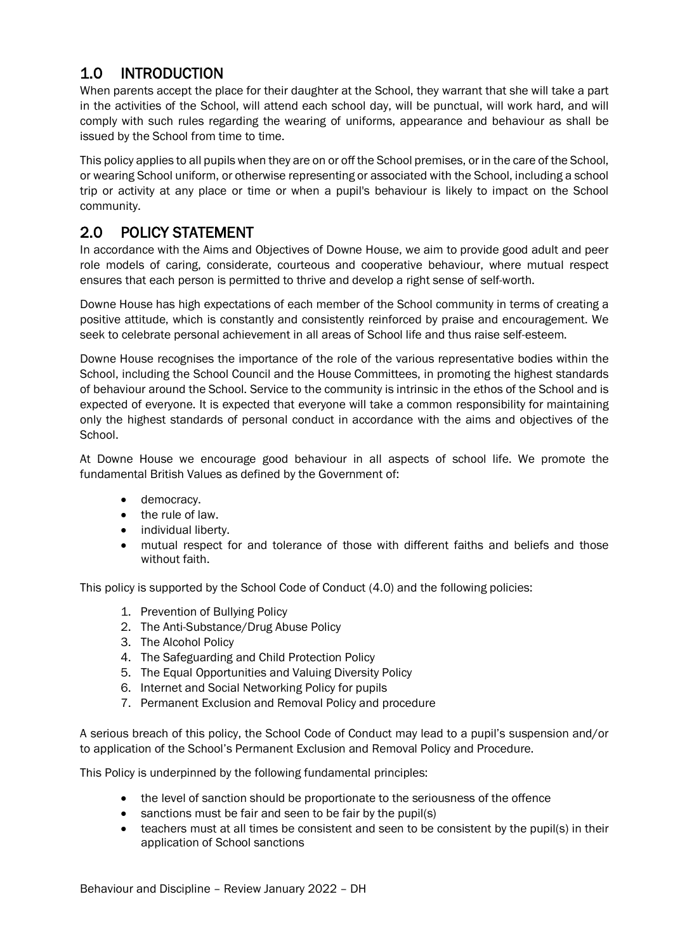## 1.0 INTRODUCTION

When parents accept the place for their daughter at the School, they warrant that she will take a part in the activities of the School, will attend each school day, will be punctual, will work hard, and will comply with such rules regarding the wearing of uniforms, appearance and behaviour as shall be issued by the School from time to time.

This policy applies to all pupils when they are on or off the School premises, or in the care of the School, or wearing School uniform, or otherwise representing or associated with the School, including a school trip or activity at any place or time or when a pupil's behaviour is likely to impact on the School community.

## 2.0 POLICY STATEMENT

In accordance with the Aims and Objectives of Downe House, we aim to provide good adult and peer role models of caring, considerate, courteous and cooperative behaviour, where mutual respect ensures that each person is permitted to thrive and develop a right sense of self-worth.

Downe House has high expectations of each member of the School community in terms of creating a positive attitude, which is constantly and consistently reinforced by praise and encouragement. We seek to celebrate personal achievement in all areas of School life and thus raise self-esteem.

Downe House recognises the importance of the role of the various representative bodies within the School, including the School Council and the House Committees, in promoting the highest standards of behaviour around the School. Service to the community is intrinsic in the ethos of the School and is expected of everyone. It is expected that everyone will take a common responsibility for maintaining only the highest standards of personal conduct in accordance with the aims and objectives of the School.

At Downe House we encourage good behaviour in all aspects of school life. We promote the fundamental British Values as defined by the Government of:

- democracy.
- the rule of law.
- individual liberty.
- mutual respect for and tolerance of those with different faiths and beliefs and those without faith

This policy is supported by the School Code of Conduct (4.0) and the following policies:

- 1. Prevention of Bullying Policy
- 2. The Anti-Substance/Drug Abuse Policy
- 3. The Alcohol Policy
- 4. The Safeguarding and Child Protection Policy
- 5. The Equal Opportunities and Valuing Diversity Policy
- 6. Internet and Social Networking Policy for pupils
- 7. Permanent Exclusion and Removal Policy and procedure

A serious breach of this policy, the School Code of Conduct may lead to a pupil's suspension and/or to application of the School's Permanent Exclusion and Removal Policy and Procedure.

This Policy is underpinned by the following fundamental principles:

- the level of sanction should be proportionate to the seriousness of the offence
- sanctions must be fair and seen to be fair by the pupil(s)
- teachers must at all times be consistent and seen to be consistent by the pupil(s) in their application of School sanctions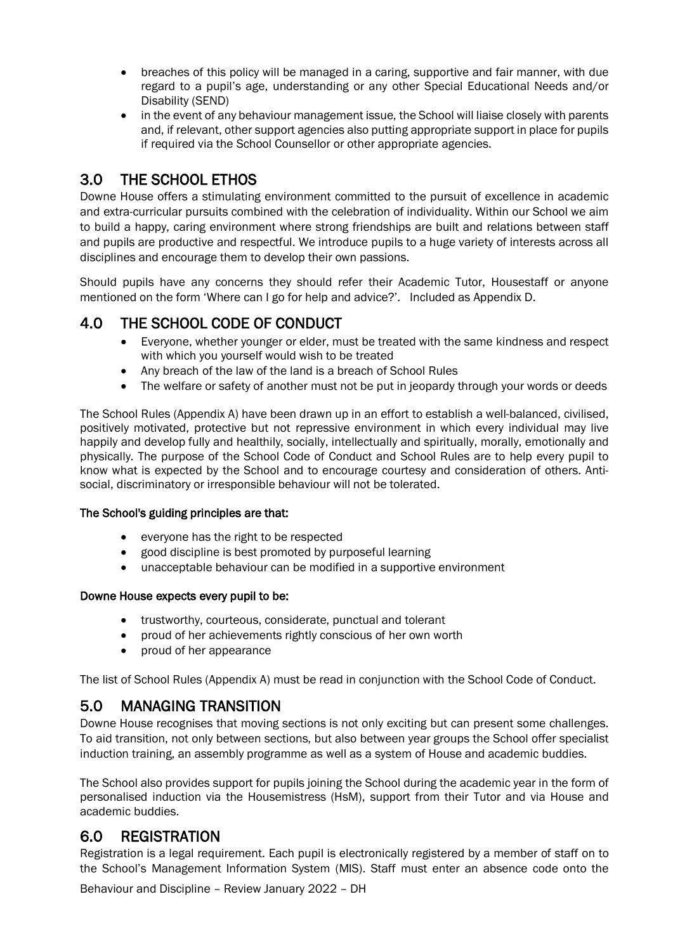- breaches of this policy will be managed in a caring, supportive and fair manner, with due regard to a pupil's age, understanding or any other Special Educational Needs and/or Disability (SEND)
- in the event of any behaviour management issue, the School will liaise closely with parents and, if relevant, other support agencies also putting appropriate support in place for pupils if required via the School Counsellor or other appropriate agencies.

## 3.0 THE SCHOOL ETHOS

Downe House offers a stimulating environment committed to the pursuit of excellence in academic and extra-curricular pursuits combined with the celebration of individuality. Within our School we aim to build a happy, caring environment where strong friendships are built and relations between staff and pupils are productive and respectful. We introduce pupils to a huge variety of interests across all disciplines and encourage them to develop their own passions.

Should pupils have any concerns they should refer their Academic Tutor, Housestaff or anyone mentioned on the form 'Where can I go for help and advice?'. Included as Appendix D.

## 4.0 THE SCHOOL CODE OF CONDUCT

- Everyone, whether younger or elder, must be treated with the same kindness and respect with which you yourself would wish to be treated
- Any breach of the law of the land is a breach of School Rules
- The welfare or safety of another must not be put in jeopardy through your words or deeds

The School Rules (Appendix A) have been drawn up in an effort to establish a well-balanced, civilised, positively motivated, protective but not repressive environment in which every individual may live happily and develop fully and healthily, socially, intellectually and spiritually, morally, emotionally and physically. The purpose of the School Code of Conduct and School Rules are to help every pupil to know what is expected by the School and to encourage courtesy and consideration of others. Antisocial, discriminatory or irresponsible behaviour will not be tolerated.

#### The School's guiding principles are that:

- everyone has the right to be respected
- good discipline is best promoted by purposeful learning
- unacceptable behaviour can be modified in a supportive environment

#### Downe House expects every pupil to be:

- trustworthy, courteous, considerate, punctual and tolerant
- proud of her achievements rightly conscious of her own worth
- proud of her appearance

The list of School Rules (Appendix A) must be read in conjunction with the School Code of Conduct.

## 5.0 MANAGING TRANSITION

Downe House recognises that moving sections is not only exciting but can present some challenges. To aid transition, not only between sections, but also between year groups the School offer specialist induction training, an assembly programme as well as a system of House and academic buddies.

The School also provides support for pupils joining the School during the academic year in the form of personalised induction via the Housemistress (HsM), support from their Tutor and via House and academic buddies.

## 6.0 REGISTRATION

Registration is a legal requirement. Each pupil is electronically registered by a member of staff on to the School's Management Information System (MIS). Staff must enter an absence code onto the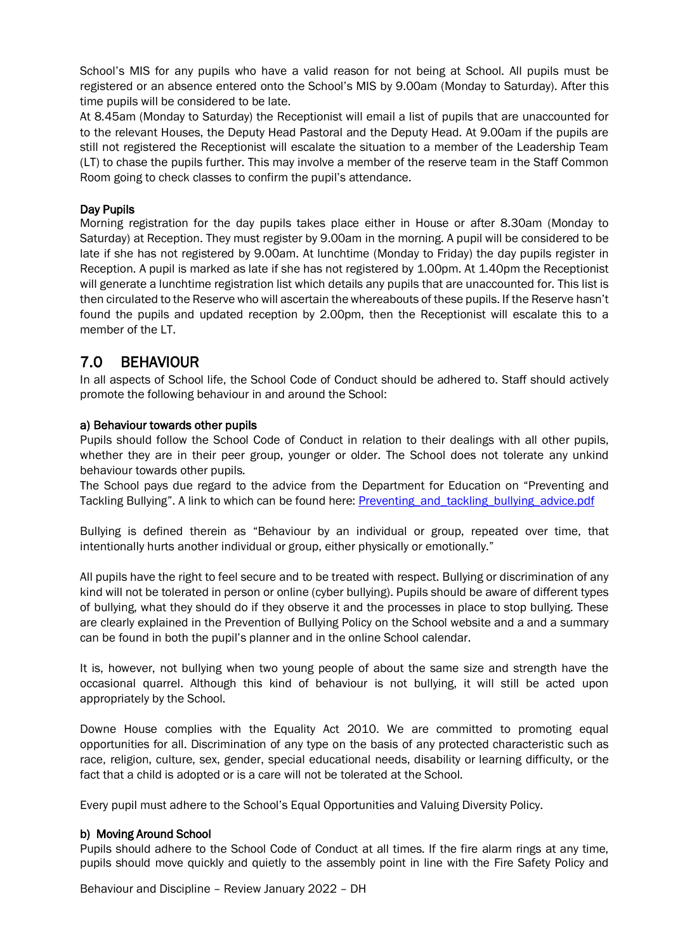School's MIS for any pupils who have a valid reason for not being at School. All pupils must be registered or an absence entered onto the School's MIS by 9.00am (Monday to Saturday). After this time pupils will be considered to be late.

At 8.45am (Monday to Saturday) the Receptionist will email a list of pupils that are unaccounted for to the relevant Houses, the Deputy Head Pastoral and the Deputy Head. At 9.00am if the pupils are still not registered the Receptionist will escalate the situation to a member of the Leadership Team (LT) to chase the pupils further. This may involve a member of the reserve team in the Staff Common Room going to check classes to confirm the pupil's attendance.

#### Day Pupils

Morning registration for the day pupils takes place either in House or after 8.30am (Monday to Saturday) at Reception. They must register by 9.00am in the morning. A pupil will be considered to be late if she has not registered by 9.00am. At lunchtime (Monday to Friday) the day pupils register in Reception. A pupil is marked as late if she has not registered by 1.00pm. At 1.40pm the Receptionist will generate a lunchtime registration list which details any pupils that are unaccounted for. This list is then circulated to the Reserve who will ascertain the whereabouts of these pupils. If the Reserve hasn't found the pupils and updated reception by 2.00pm, then the Receptionist will escalate this to a member of the LT.

#### 7.0 BEHAVIOUR

In all aspects of School life, the School Code of Conduct should be adhered to. Staff should actively promote the following behaviour in and around the School:

#### a) Behaviour towards other pupils

Pupils should follow the School Code of Conduct in relation to their dealings with all other pupils, whether they are in their peer group, younger or older. The School does not tolerate any unkind behaviour towards other pupils.

The School pays due regard to the advice from the Department for Education on "Preventing and Tackling Bullying". A link to which can be found here: Preventing and tackling bullying advice.pdf

Bullying is defined therein as "Behaviour by an individual or group, repeated over time, that intentionally hurts another individual or group, either physically or emotionally."

All pupils have the right to feel secure and to be treated with respect. Bullying or discrimination of any kind will not be tolerated in person or online (cyber bullying). Pupils should be aware of different types of bullying, what they should do if they observe it and the processes in place to stop bullying. These are clearly explained in the Prevention of Bullying Policy on the School website and a and a summary can be found in both the pupil's planner and in the online School calendar.

It is, however, not bullying when two young people of about the same size and strength have the occasional quarrel. Although this kind of behaviour is not bullying, it will still be acted upon appropriately by the School.

Downe House complies with the Equality Act 2010. We are committed to promoting equal opportunities for all. Discrimination of any type on the basis of any protected characteristic such as race, religion, culture, sex, gender, special educational needs, disability or learning difficulty, or the fact that a child is adopted or is a care will not be tolerated at the School.

Every pupil must adhere to the School's Equal Opportunities and Valuing Diversity Policy.

#### b) Moving Around School

Pupils should adhere to the School Code of Conduct at all times. If the fire alarm rings at any time, pupils should move quickly and quietly to the assembly point in line with the Fire Safety Policy and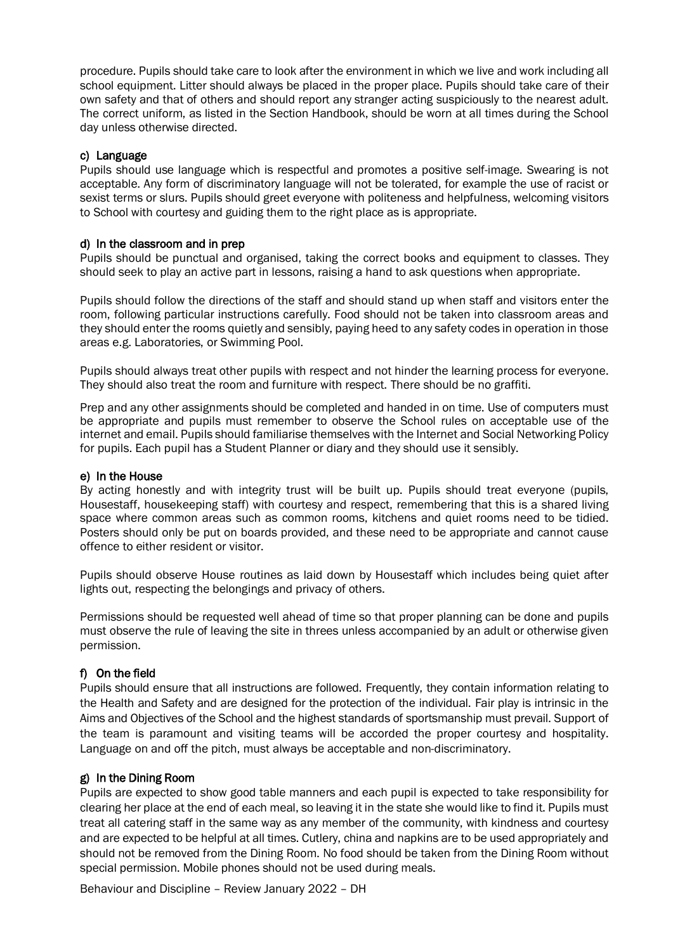procedure. Pupils should take care to look after the environment in which we live and work including all school equipment. Litter should always be placed in the proper place. Pupils should take care of their own safety and that of others and should report any stranger acting suspiciously to the nearest adult. The correct uniform, as listed in the Section Handbook, should be worn at all times during the School day unless otherwise directed.

#### c) Language

Pupils should use language which is respectful and promotes a positive self-image. Swearing is not acceptable. Any form of discriminatory language will not be tolerated, for example the use of racist or sexist terms or slurs. Pupils should greet everyone with politeness and helpfulness, welcoming visitors to School with courtesy and guiding them to the right place as is appropriate.

#### d) In the classroom and in prep

Pupils should be punctual and organised, taking the correct books and equipment to classes. They should seek to play an active part in lessons, raising a hand to ask questions when appropriate.

Pupils should follow the directions of the staff and should stand up when staff and visitors enter the room, following particular instructions carefully. Food should not be taken into classroom areas and they should enter the rooms quietly and sensibly, paying heed to any safety codes in operation in those areas e.g. Laboratories, or Swimming Pool.

Pupils should always treat other pupils with respect and not hinder the learning process for everyone. They should also treat the room and furniture with respect. There should be no graffiti.

Prep and any other assignments should be completed and handed in on time. Use of computers must be appropriate and pupils must remember to observe the School rules on acceptable use of the internet and email. Pupils should familiarise themselves with the Internet and Social Networking Policy for pupils. Each pupil has a Student Planner or diary and they should use it sensibly.

#### e) In the House

By acting honestly and with integrity trust will be built up. Pupils should treat everyone (pupils, Housestaff, housekeeping staff) with courtesy and respect, remembering that this is a shared living space where common areas such as common rooms, kitchens and quiet rooms need to be tidied. Posters should only be put on boards provided, and these need to be appropriate and cannot cause offence to either resident or visitor.

Pupils should observe House routines as laid down by Housestaff which includes being quiet after lights out, respecting the belongings and privacy of others.

Permissions should be requested well ahead of time so that proper planning can be done and pupils must observe the rule of leaving the site in threes unless accompanied by an adult or otherwise given permission.

#### f) On the field

Pupils should ensure that all instructions are followed. Frequently, they contain information relating to the Health and Safety and are designed for the protection of the individual. Fair play is intrinsic in the Aims and Objectives of the School and the highest standards of sportsmanship must prevail. Support of the team is paramount and visiting teams will be accorded the proper courtesy and hospitality. Language on and off the pitch, must always be acceptable and non-discriminatory.

#### g) In the Dining Room

Pupils are expected to show good table manners and each pupil is expected to take responsibility for clearing her place at the end of each meal, so leaving it in the state she would like to find it. Pupils must treat all catering staff in the same way as any member of the community, with kindness and courtesy and are expected to be helpful at all times. Cutlery, china and napkins are to be used appropriately and should not be removed from the Dining Room. No food should be taken from the Dining Room without special permission. Mobile phones should not be used during meals.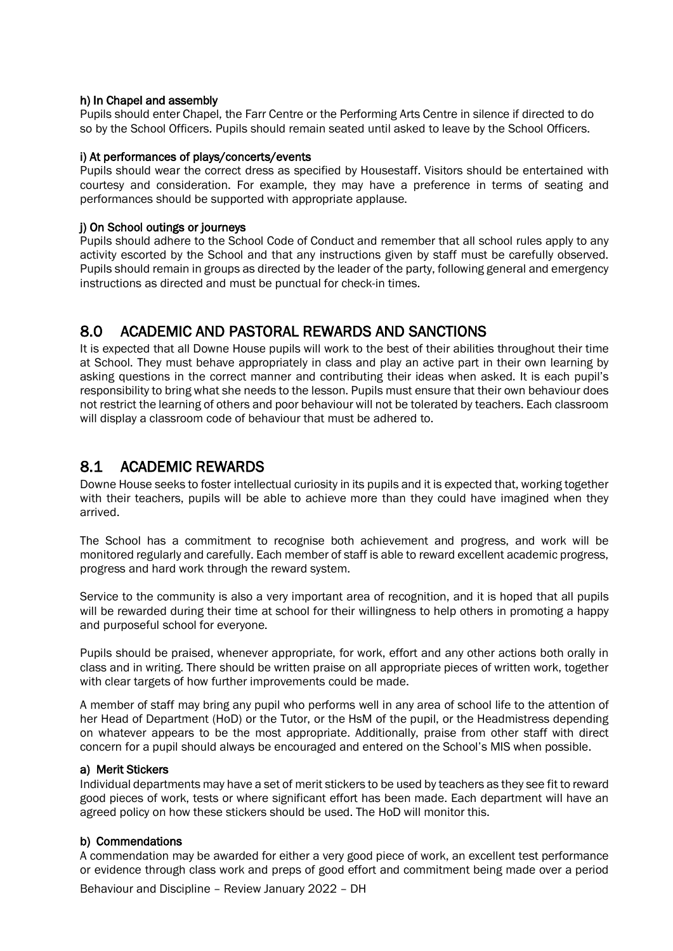#### h) In Chapel and assembly

Pupils should enter Chapel, the Farr Centre or the Performing Arts Centre in silence if directed to do so by the School Officers. Pupils should remain seated until asked to leave by the School Officers.

#### i) At performances of plays/concerts/events

Pupils should wear the correct dress as specified by Housestaff. Visitors should be entertained with courtesy and consideration. For example, they may have a preference in terms of seating and performances should be supported with appropriate applause.

#### j) On School outings or journeys

Pupils should adhere to the School Code of Conduct and remember that all school rules apply to any activity escorted by the School and that any instructions given by staff must be carefully observed. Pupils should remain in groups as directed by the leader of the party, following general and emergency instructions as directed and must be punctual for check-in times.

#### 8.0 ACADEMIC AND PASTORAL REWARDS AND SANCTIONS

It is expected that all Downe House pupils will work to the best of their abilities throughout their time at School. They must behave appropriately in class and play an active part in their own learning by asking questions in the correct manner and contributing their ideas when asked. It is each pupil's responsibility to bring what she needs to the lesson. Pupils must ensure that their own behaviour does not restrict the learning of others and poor behaviour will not be tolerated by teachers. Each classroom will display a classroom code of behaviour that must be adhered to.

#### 8.1 ACADEMIC REWARDS

Downe House seeks to foster intellectual curiosity in its pupils and it is expected that, working together with their teachers, pupils will be able to achieve more than they could have imagined when they arrived.

The School has a commitment to recognise both achievement and progress, and work will be monitored regularly and carefully. Each member of staff is able to reward excellent academic progress, progress and hard work through the reward system.

Service to the community is also a very important area of recognition, and it is hoped that all pupils will be rewarded during their time at school for their willingness to help others in promoting a happy and purposeful school for everyone.

Pupils should be praised, whenever appropriate, for work, effort and any other actions both orally in class and in writing. There should be written praise on all appropriate pieces of written work, together with clear targets of how further improvements could be made.

A member of staff may bring any pupil who performs well in any area of school life to the attention of her Head of Department (HoD) or the Tutor, or the HsM of the pupil, or the Headmistress depending on whatever appears to be the most appropriate. Additionally, praise from other staff with direct concern for a pupil should always be encouraged and entered on the School's MIS when possible.

#### a) Merit Stickers

Individual departments may have a set of merit stickers to be used by teachers as they see fit to reward good pieces of work, tests or where significant effort has been made. Each department will have an agreed policy on how these stickers should be used. The HoD will monitor this.

#### b) Commendations

Behaviour and Discipline – Review January 2022 – DH A commendation may be awarded for either a very good piece of work, an excellent test performance or evidence through class work and preps of good effort and commitment being made over a period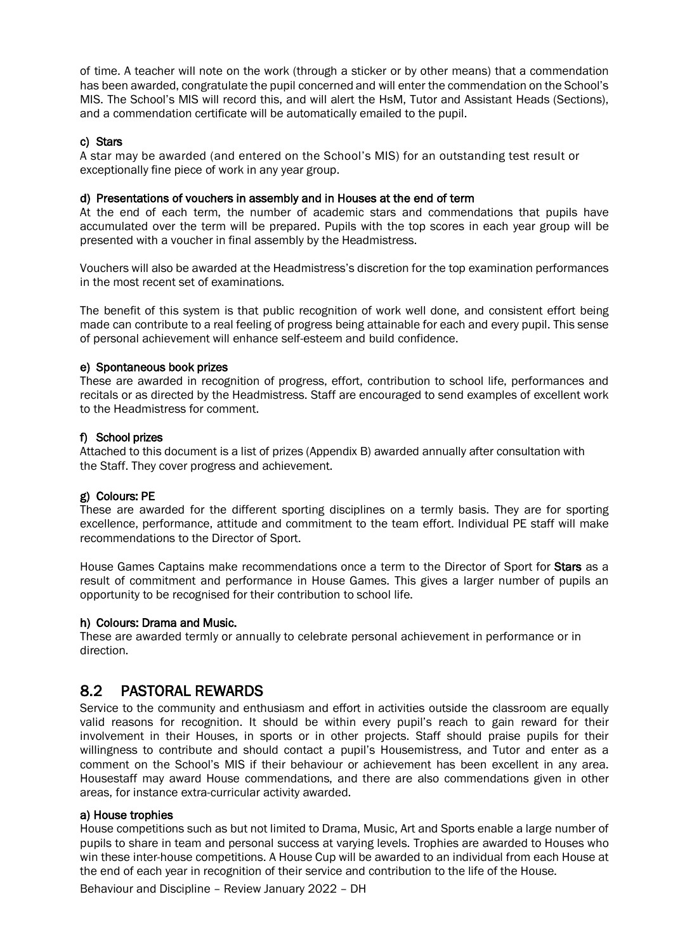of time. A teacher will note on the work (through a sticker or by other means) that a commendation has been awarded, congratulate the pupil concerned and will enter the commendation on the School's MIS. The School's MIS will record this, and will alert the HsM, Tutor and Assistant Heads (Sections), and a commendation certificate will be automatically emailed to the pupil.

#### c) Stars

A star may be awarded (and entered on the School's MIS) for an outstanding test result or exceptionally fine piece of work in any year group.

#### d) Presentations of vouchers in assembly and in Houses at the end of term

At the end of each term, the number of academic stars and commendations that pupils have accumulated over the term will be prepared. Pupils with the top scores in each year group will be presented with a voucher in final assembly by the Headmistress.

Vouchers will also be awarded at the Headmistress's discretion for the top examination performances in the most recent set of examinations.

The benefit of this system is that public recognition of work well done, and consistent effort being made can contribute to a real feeling of progress being attainable for each and every pupil. This sense of personal achievement will enhance self-esteem and build confidence.

#### e) Spontaneous book prizes

These are awarded in recognition of progress, effort, contribution to school life, performances and recitals or as directed by the Headmistress. Staff are encouraged to send examples of excellent work to the Headmistress for comment.

#### f) School prizes

Attached to this document is a list of prizes (Appendix B) awarded annually after consultation with the Staff. They cover progress and achievement.

#### g) Colours: PE

These are awarded for the different sporting disciplines on a termly basis. They are for sporting excellence, performance, attitude and commitment to the team effort. Individual PE staff will make recommendations to the Director of Sport.

House Games Captains make recommendations once a term to the Director of Sport for Stars as a result of commitment and performance in House Games. This gives a larger number of pupils an opportunity to be recognised for their contribution to school life.

#### h) Colours: Drama and Music.

These are awarded termly or annually to celebrate personal achievement in performance or in direction.

#### 8.2 PASTORAL REWARDS

Service to the community and enthusiasm and effort in activities outside the classroom are equally valid reasons for recognition. It should be within every pupil's reach to gain reward for their involvement in their Houses, in sports or in other projects. Staff should praise pupils for their willingness to contribute and should contact a pupil's Housemistress, and Tutor and enter as a comment on the School's MIS if their behaviour or achievement has been excellent in any area. Housestaff may award House commendations, and there are also commendations given in other areas, for instance extra-curricular activity awarded.

#### a) House trophies

House competitions such as but not limited to Drama, Music, Art and Sports enable a large number of pupils to share in team and personal success at varying levels. Trophies are awarded to Houses who win these inter-house competitions. A House Cup will be awarded to an individual from each House at the end of each year in recognition of their service and contribution to the life of the House.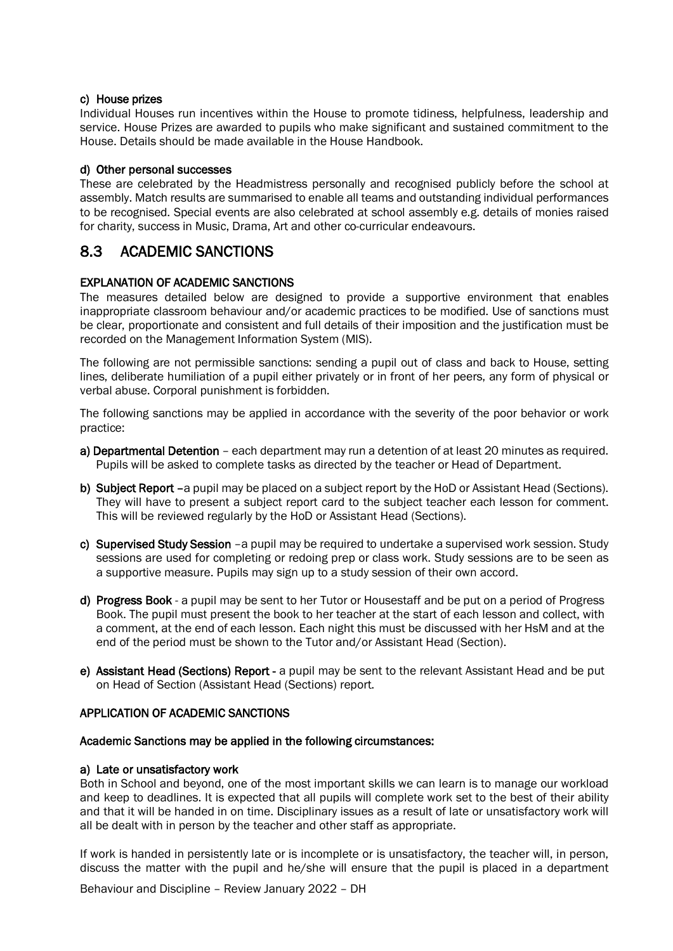#### c) House prizes

Individual Houses run incentives within the House to promote tidiness, helpfulness, leadership and service. House Prizes are awarded to pupils who make significant and sustained commitment to the House. Details should be made available in the House Handbook.

#### d) Other personal successes

These are celebrated by the Headmistress personally and recognised publicly before the school at assembly. Match results are summarised to enable all teams and outstanding individual performances to be recognised. Special events are also celebrated at school assembly e.g. details of monies raised for charity, success in Music, Drama, Art and other co-curricular endeavours.

#### 8.3 ACADEMIC SANCTIONS

#### EXPLANATION OF ACADEMIC SANCTIONS

The measures detailed below are designed to provide a supportive environment that enables inappropriate classroom behaviour and/or academic practices to be modified. Use of sanctions must be clear, proportionate and consistent and full details of their imposition and the justification must be recorded on the Management Information System (MIS).

The following are not permissible sanctions: sending a pupil out of class and back to House, setting lines, deliberate humiliation of a pupil either privately or in front of her peers, any form of physical or verbal abuse. Corporal punishment is forbidden.

The following sanctions may be applied in accordance with the severity of the poor behavior or work practice:

- a) Departmental Detention each department may run a detention of at least 20 minutes as required. Pupils will be asked to complete tasks as directed by the teacher or Head of Department.
- b) Subject Report –a pupil may be placed on a subject report by the HoD or Assistant Head (Sections). They will have to present a subject report card to the subject teacher each lesson for comment. This will be reviewed regularly by the HoD or Assistant Head (Sections).
- c) Supervised Study Session -a pupil may be required to undertake a supervised work session. Study sessions are used for completing or redoing prep or class work. Study sessions are to be seen as a supportive measure. Pupils may sign up to a study session of their own accord.
- d) Progress Book a pupil may be sent to her Tutor or Housestaff and be put on a period of Progress Book. The pupil must present the book to her teacher at the start of each lesson and collect, with a comment, at the end of each lesson. Each night this must be discussed with her HsM and at the end of the period must be shown to the Tutor and/or Assistant Head (Section).
- e) Assistant Head (Sections) Report a pupil may be sent to the relevant Assistant Head and be put on Head of Section (Assistant Head (Sections) report.

#### APPLICATION OF ACADEMIC SANCTIONS

#### Academic Sanctions may be applied in the following circumstances:

#### a) Late or unsatisfactory work

Both in School and beyond, one of the most important skills we can learn is to manage our workload and keep to deadlines. It is expected that all pupils will complete work set to the best of their ability and that it will be handed in on time. Disciplinary issues as a result of late or unsatisfactory work will all be dealt with in person by the teacher and other staff as appropriate.

If work is handed in persistently late or is incomplete or is unsatisfactory, the teacher will, in person, discuss the matter with the pupil and he/she will ensure that the pupil is placed in a department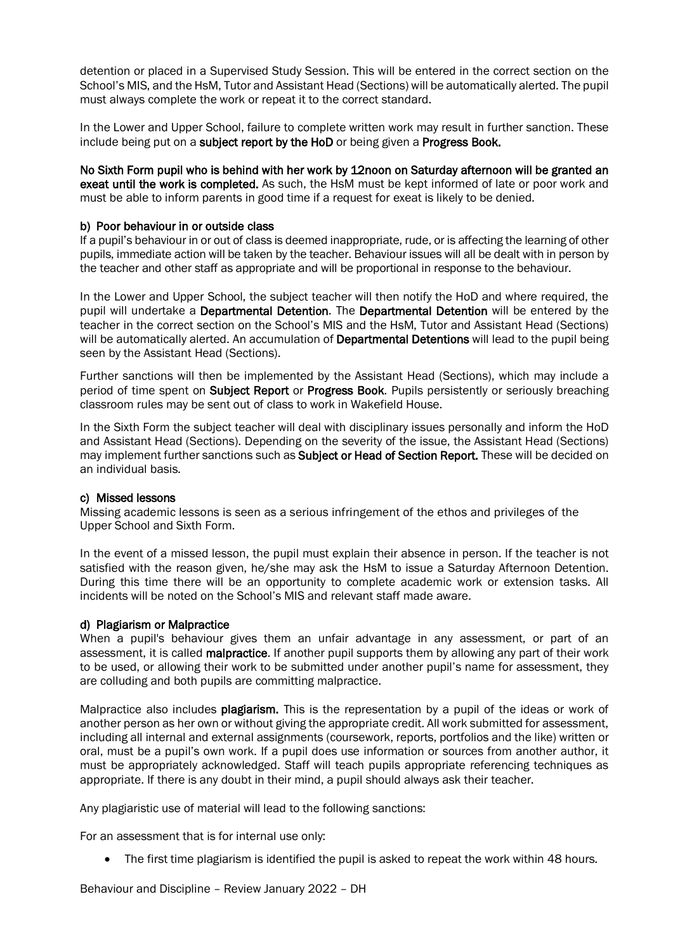detention or placed in a Supervised Study Session. This will be entered in the correct section on the School's MIS, and the HsM, Tutor and Assistant Head (Sections) will be automatically alerted. The pupil must always complete the work or repeat it to the correct standard.

In the Lower and Upper School, failure to complete written work may result in further sanction. These include being put on a subject report by the HoD or being given a Progress Book.

No Sixth Form pupil who is behind with her work by 12noon on Saturday afternoon will be granted an exeat until the work is completed. As such, the HsM must be kept informed of late or poor work and must be able to inform parents in good time if a request for exeat is likely to be denied.

#### b) Poor behaviour in or outside class

If a pupil's behaviour in or out of class is deemed inappropriate, rude, or is affecting the learning of other pupils, immediate action will be taken by the teacher. Behaviour issues will all be dealt with in person by the teacher and other staff as appropriate and will be proportional in response to the behaviour.

In the Lower and Upper School, the subject teacher will then notify the HoD and where required, the pupil will undertake a Departmental Detention. The Departmental Detention will be entered by the teacher in the correct section on the School's MIS and the HsM, Tutor and Assistant Head (Sections) will be automatically alerted. An accumulation of Departmental Detentions will lead to the pupil being seen by the Assistant Head (Sections).

Further sanctions will then be implemented by the Assistant Head (Sections), which may include a period of time spent on **Subject Report** or **Progress Book**. Pupils persistently or seriously breaching classroom rules may be sent out of class to work in Wakefield House.

In the Sixth Form the subject teacher will deal with disciplinary issues personally and inform the HoD and Assistant Head (Sections). Depending on the severity of the issue, the Assistant Head (Sections) may implement further sanctions such as Subject or Head of Section Report. These will be decided on an individual basis.

#### c) Missed lessons

Missing academic lessons is seen as a serious infringement of the ethos and privileges of the Upper School and Sixth Form.

In the event of a missed lesson, the pupil must explain their absence in person. If the teacher is not satisfied with the reason given, he/she may ask the HsM to issue a Saturday Afternoon Detention. During this time there will be an opportunity to complete academic work or extension tasks. All incidents will be noted on the School's MIS and relevant staff made aware.

#### d) Plagiarism or Malpractice

When a pupil's behaviour gives them an unfair advantage in any assessment, or part of an assessment, it is called **malpractice.** If another pupil supports them by allowing any part of their work to be used, or allowing their work to be submitted under another pupil's name for assessment, they are colluding and both pupils are committing malpractice.

Malpractice also includes plagiarism. This is the representation by a pupil of the ideas or work of another person as her own or without giving the appropriate credit. All work submitted for assessment, including all internal and external assignments (coursework, reports, portfolios and the like) written or oral, must be a pupil's own work. If a pupil does use information or sources from another author, it must be appropriately acknowledged. Staff will teach pupils appropriate referencing techniques as appropriate. If there is any doubt in their mind, a pupil should always ask their teacher.

Any plagiaristic use of material will lead to the following sanctions:

For an assessment that is for internal use only:

• The first time plagiarism is identified the pupil is asked to repeat the work within 48 hours.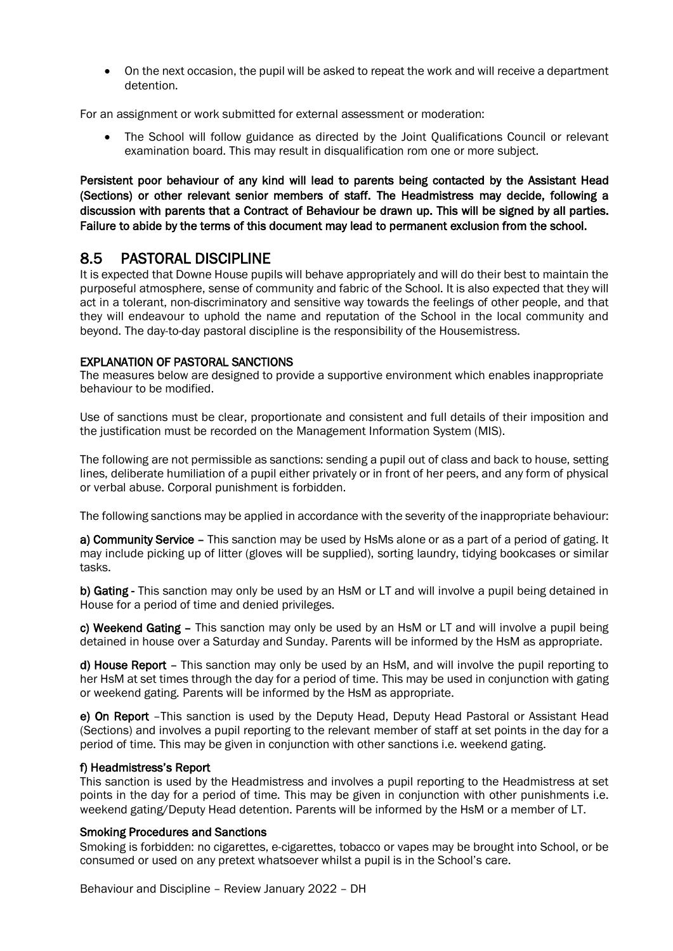• On the next occasion, the pupil will be asked to repeat the work and will receive a department detention.

For an assignment or work submitted for external assessment or moderation:

• The School will follow guidance as directed by the Joint Qualifications Council or relevant examination board. This may result in disqualification rom one or more subject.

Persistent poor behaviour of any kind will lead to parents being contacted by the Assistant Head (Sections) or other relevant senior members of staff. The Headmistress may decide, following a discussion with parents that a Contract of Behaviour be drawn up. This will be signed by all parties. Failure to abide by the terms of this document may lead to permanent exclusion from the school.

8.5 PASTORAL DISCIPLINE<br>It is expected that Downe House pupils will behave appropriately and will do their best to maintain the purposeful atmosphere, sense of community and fabric of the School. It is also expected that they will act in a tolerant, non-discriminatory and sensitive way towards the feelings of other people, and that they will endeavour to uphold the name and reputation of the School in the local community and beyond. The day-to-day pastoral discipline is the responsibility of the Housemistress.

#### EXPLANATION OF PASTORAL SANCTIONS

The measures below are designed to provide a supportive environment which enables inappropriate behaviour to be modified.

Use of sanctions must be clear, proportionate and consistent and full details of their imposition and the justification must be recorded on the Management Information System (MIS).

The following are not permissible as sanctions: sending a pupil out of class and back to house, setting lines, deliberate humiliation of a pupil either privately or in front of her peers, and any form of physical or verbal abuse. Corporal punishment is forbidden.

The following sanctions may be applied in accordance with the severity of the inappropriate behaviour:

a) Community Service – This sanction may be used by HsMs alone or as a part of a period of gating. It may include picking up of litter (gloves will be supplied), sorting laundry, tidying bookcases or similar tasks.

b) Gating - This sanction may only be used by an HsM or LT and will involve a pupil being detained in House for a period of time and denied privileges.

c) Weekend Gating – This sanction may only be used by an HsM or LT and will involve a pupil being detained in house over a Saturday and Sunday. Parents will be informed by the HsM as appropriate.

d) House Report – This sanction may only be used by an HsM, and will involve the pupil reporting to her HsM at set times through the day for a period of time. This may be used in conjunction with gating or weekend gating. Parents will be informed by the HsM as appropriate.

e) On Report –This sanction is used by the Deputy Head, Deputy Head Pastoral or Assistant Head (Sections) and involves a pupil reporting to the relevant member of staff at set points in the day for a period of time. This may be given in conjunction with other sanctions i.e. weekend gating.

#### f) Headmistress's Report

This sanction is used by the Headmistress and involves a pupil reporting to the Headmistress at set points in the day for a period of time. This may be given in conjunction with other punishments i.e. weekend gating/Deputy Head detention. Parents will be informed by the HsM or a member of LT.

#### Smoking Procedures and Sanctions

Smoking is forbidden: no cigarettes, e-cigarettes, tobacco or vapes may be brought into School, or be consumed or used on any pretext whatsoever whilst a pupil is in the School's care.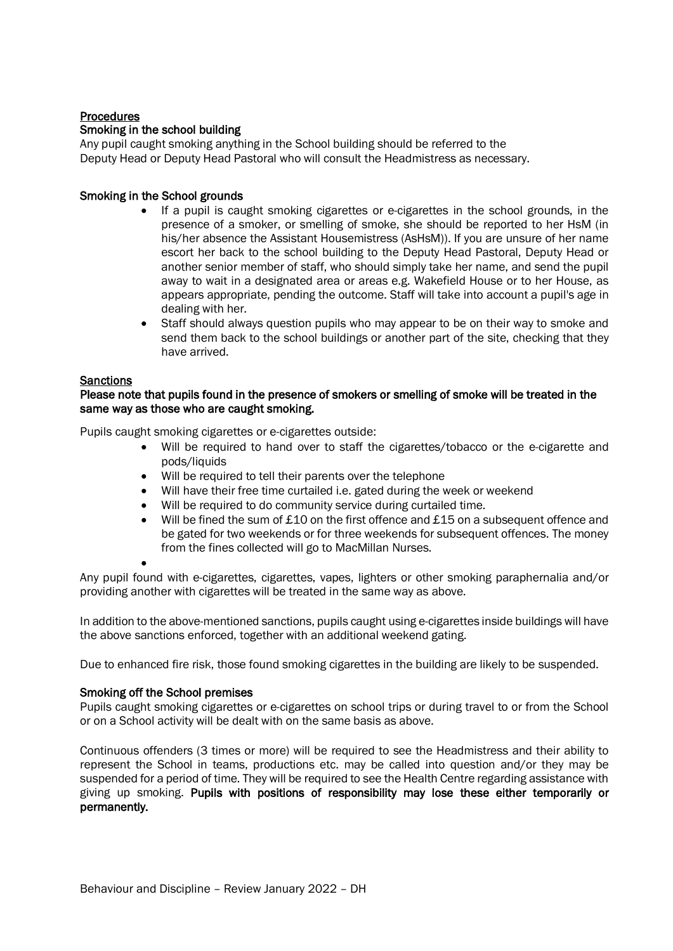#### **Procedures** Smoking in the school building

Any pupil caught smoking anything in the School building should be referred to the Deputy Head or Deputy Head Pastoral who will consult the Headmistress as necessary.

#### Smoking in the School grounds

- If a pupil is caught smoking cigarettes or e-cigarettes in the school grounds, in the presence of a smoker, or smelling of smoke, she should be reported to her HsM (in his/her absence the Assistant Housemistress (AsHsM)). If you are unsure of her name escort her back to the school building to the Deputy Head Pastoral, Deputy Head or another senior member of staff, who should simply take her name, and send the pupil away to wait in a designated area or areas e.g. Wakefield House or to her House, as appears appropriate, pending the outcome. Staff will take into account a pupil's age in dealing with her.
- Staff should always question pupils who may appear to be on their way to smoke and send them back to the school buildings or another part of the site, checking that they have arrived.

#### **Sanctions**

#### Please note that pupils found in the presence of smokers or smelling of smoke will be treated in the same way as those who are caught smoking.

Pupils caught smoking cigarettes or e-cigarettes outside:

- Will be required to hand over to staff the cigarettes/tobacco or the e-cigarette and pods/liquids
- Will be required to tell their parents over the telephone
- Will have their free time curtailed i.e. gated during the week or weekend
- Will be required to do community service during curtailed time.
- Will be fined the sum of £10 on the first offence and £15 on a subsequent offence and be gated for two weekends or for three weekends for subsequent offences. The money from the fines collected will go to MacMillan Nurses.

•

Any pupil found with e-cigarettes, cigarettes, vapes, lighters or other smoking paraphernalia and/or providing another with cigarettes will be treated in the same way as above.

In addition to the above-mentioned sanctions, pupils caught using e-cigarettes inside buildings will have the above sanctions enforced, together with an additional weekend gating.

Due to enhanced fire risk, those found smoking cigarettes in the building are likely to be suspended.

#### Smoking off the School premises

Pupils caught smoking cigarettes or e-cigarettes on school trips or during travel to or from the School or on a School activity will be dealt with on the same basis as above.

Continuous offenders (3 times or more) will be required to see the Headmistress and their ability to represent the School in teams, productions etc. may be called into question and/or they may be suspended for a period of time. They will be required to see the Health Centre regarding assistance with giving up smoking. Pupils with positions of responsibility may lose these either temporarily or permanently.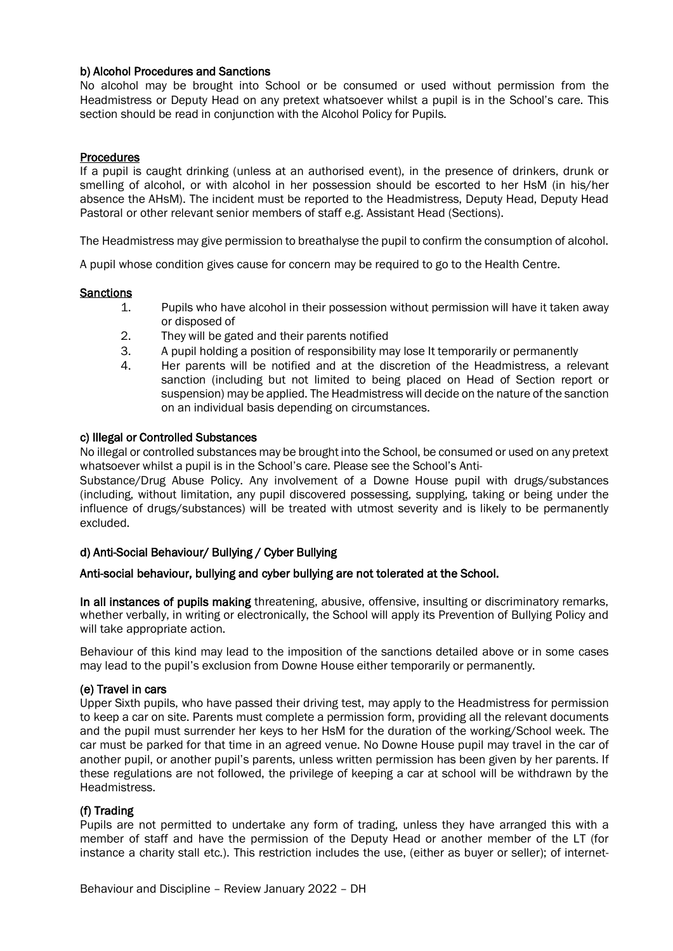#### b) Alcohol Procedures and Sanctions

No alcohol may be brought into School or be consumed or used without permission from the Headmistress or Deputy Head on any pretext whatsoever whilst a pupil is in the School's care. This section should be read in conjunction with the Alcohol Policy for Pupils.

#### **Procedures**

If a pupil is caught drinking (unless at an authorised event), in the presence of drinkers, drunk or smelling of alcohol, or with alcohol in her possession should be escorted to her HsM (in his/her absence the AHsM). The incident must be reported to the Headmistress, Deputy Head, Deputy Head Pastoral or other relevant senior members of staff e.g. Assistant Head (Sections).

The Headmistress may give permission to breathalyse the pupil to confirm the consumption of alcohol.

A pupil whose condition gives cause for concern may be required to go to the Health Centre.

#### **Sanctions**

- 1. Pupils who have alcohol in their possession without permission will have it taken away or disposed of
- 2. They will be gated and their parents notified
- 3. A pupil holding a position of responsibility may lose It temporarily or permanently
- 4. Her parents will be notified and at the discretion of the Headmistress, a relevant sanction (including but not limited to being placed on Head of Section report or suspension) may be applied. The Headmistress will decide on the nature of the sanction on an individual basis depending on circumstances.

#### c) Illegal or Controlled Substances

No illegal or controlled substances may be brought into the School, be consumed or used on any pretext whatsoever whilst a pupil is in the School's care. Please see the School's Anti-

Substance/Drug Abuse Policy. Any involvement of a Downe House pupil with drugs/substances (including, without limitation, any pupil discovered possessing, supplying, taking or being under the influence of drugs/substances) will be treated with utmost severity and is likely to be permanently excluded.

#### d) Anti-Social Behaviour/ Bullying / Cyber Bullying

#### Anti-social behaviour, bullying and cyber bullying are not tolerated at the School.

In all instances of pupils making threatening, abusive, offensive, insulting or discriminatory remarks, whether verbally, in writing or electronically, the School will apply its Prevention of Bullying Policy and will take appropriate action.

Behaviour of this kind may lead to the imposition of the sanctions detailed above or in some cases may lead to the pupil's exclusion from Downe House either temporarily or permanently.

#### (e) Travel in cars

Upper Sixth pupils, who have passed their driving test, may apply to the Headmistress for permission to keep a car on site. Parents must complete a permission form, providing all the relevant documents and the pupil must surrender her keys to her HsM for the duration of the working/School week. The car must be parked for that time in an agreed venue. No Downe House pupil may travel in the car of another pupil, or another pupil's parents, unless written permission has been given by her parents. If these regulations are not followed, the privilege of keeping a car at school will be withdrawn by the Headmistress.

#### (f) Trading

Pupils are not permitted to undertake any form of trading, unless they have arranged this with a member of staff and have the permission of the Deputy Head or another member of the LT (for instance a charity stall etc.). This restriction includes the use, (either as buyer or seller); of internet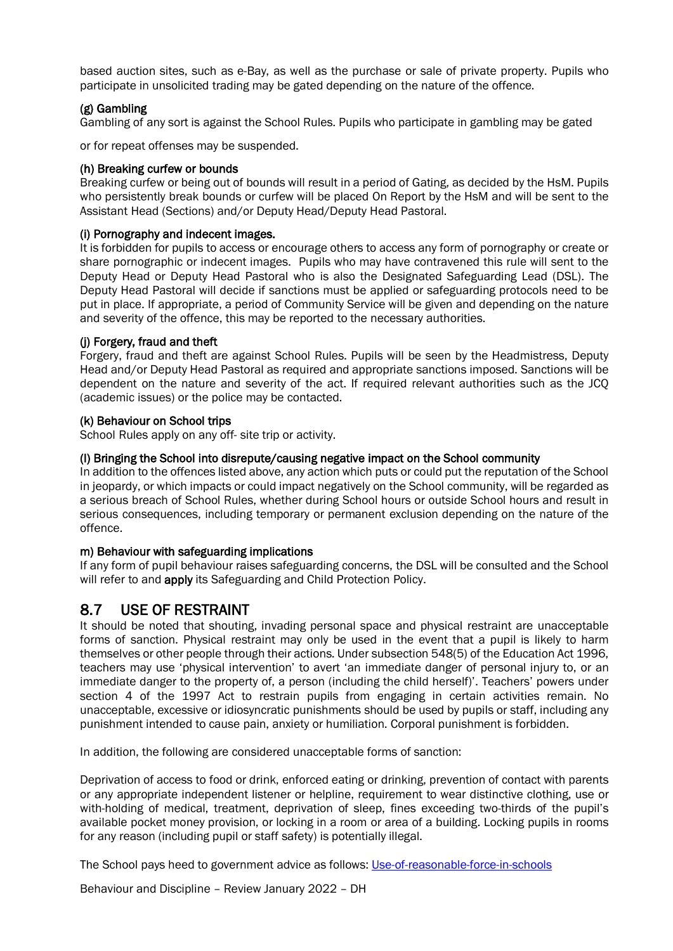based auction sites, such as e-Bay, as well as the purchase or sale of private property. Pupils who participate in unsolicited trading may be gated depending on the nature of the offence.

#### (g) Gambling

Gambling of any sort is against the School Rules. Pupils who participate in gambling may be gated

or for repeat offenses may be suspended.

#### (h) Breaking curfew or bounds

Breaking curfew or being out of bounds will result in a period of Gating, as decided by the HsM. Pupils who persistently break bounds or curfew will be placed On Report by the HsM and will be sent to the Assistant Head (Sections) and/or Deputy Head/Deputy Head Pastoral.

#### (i) Pornography and indecent images.

It is forbidden for pupils to access or encourage others to access any form of pornography or create or share pornographic or indecent images. Pupils who may have contravened this rule will sent to the Deputy Head or Deputy Head Pastoral who is also the Designated Safeguarding Lead (DSL). The Deputy Head Pastoral will decide if sanctions must be applied or safeguarding protocols need to be put in place. If appropriate, a period of Community Service will be given and depending on the nature and severity of the offence, this may be reported to the necessary authorities.

#### (j) Forgery, fraud and theft

Forgery, fraud and theft are against School Rules. Pupils will be seen by the Headmistress, Deputy Head and/or Deputy Head Pastoral as required and appropriate sanctions imposed. Sanctions will be dependent on the nature and severity of the act. If required relevant authorities such as the JCQ (academic issues) or the police may be contacted.

#### (k) Behaviour on School trips

School Rules apply on any off- site trip or activity.

#### (l) Bringing the School into disrepute/causing negative impact on the School community

In addition to the offences listed above, any action which puts or could put the reputation of the School in jeopardy, or which impacts or could impact negatively on the School community, will be regarded as a serious breach of School Rules, whether during School hours or outside School hours and result in serious consequences, including temporary or permanent exclusion depending on the nature of the offence.

#### m) Behaviour with safeguarding implications

If any form of pupil behaviour raises safeguarding concerns, the DSL will be consulted and the School will refer to and **apply** its Safeguarding and Child Protection Policy.

8.7 USE OF RESTRAINT It should be noted that should be noted invariant are unacceptable it should be noted that shouting, invading personal space and physical restraint are unacceptable forms of sanction. Physical restraint may only be used in the event that a pupil is likely to harm themselves or other people through their actions. Under subsection 548(5) of the Education Act 1996, teachers may use 'physical intervention' to avert 'an immediate danger of personal injury to, or an immediate danger to the property of, a person (including the child herself)'. Teachers' powers under section 4 of the 1997 Act to restrain pupils from engaging in certain activities remain. No unacceptable, excessive or idiosyncratic punishments should be used by pupils or staff, including any punishment intended to cause pain, anxiety or humiliation. Corporal punishment is forbidden.

In addition, the following are considered unacceptable forms of sanction:

Deprivation of access to food or drink, enforced eating or drinking, prevention of contact with parents or any appropriate independent listener or helpline, requirement to wear distinctive clothing, use or with-holding of medical, treatment, deprivation of sleep, fines exceeding two-thirds of the pupil's available pocket money provision, or locking in a room or area of a building. Locking pupils in rooms for any reason (including pupil or staff safety) is potentially illegal.

The School pays heed to government advice as follows: Use-of-reasonable-force-in-schools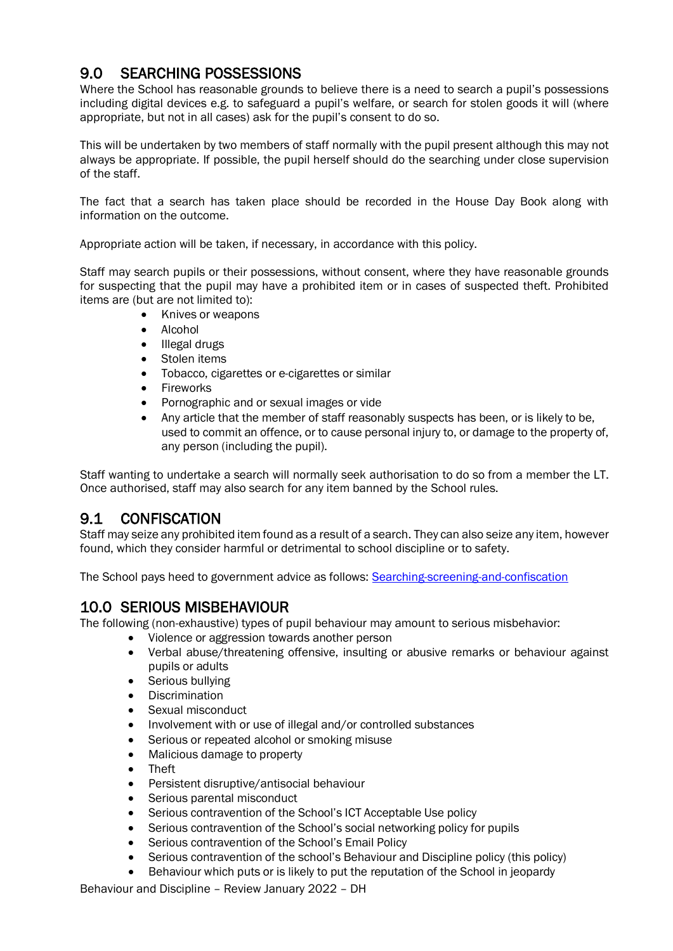**9.0 SEARCHING POSSESSIONS**<br>Where the School has reasonable grounds to believe there is a need to search a pupil's possessions including digital devices e.g. to safeguard a pupil's welfare, or search for stolen goods it will (where appropriate, but not in all cases) ask for the pupil's consent to do so.

This will be undertaken by two members of staff normally with the pupil present although this may not always be appropriate. If possible, the pupil herself should do the searching under close supervision of the staff.

The fact that a search has taken place should be recorded in the House Day Book along with information on the outcome.

Appropriate action will be taken, if necessary, in accordance with this policy.

Staff may search pupils or their possessions, without consent, where they have reasonable grounds for suspecting that the pupil may have a prohibited item or in cases of suspected theft. Prohibited items are (but are not limited to):

- Knives or weapons
- Alcohol
- Illegal drugs
- Stolen items
- Tobacco, cigarettes or e-cigarettes or similar
- Fireworks
- Pornographic and or sexual images or vide
- Any article that the member of staff reasonably suspects has been, or is likely to be, used to commit an offence, or to cause personal injury to, or damage to the property of, any person (including the pupil).

Staff wanting to undertake a search will normally seek authorisation to do so from a member the LT. Once authorised, staff may also search for any item banned by the School rules.

**9.1** CONFISCATION<br>Staff may seize any prohibited item found as a result of a search. They can also seize any item, however found, which they consider harmful or detrimental to school discipline or to safety.

The School pays heed to government advice as follows[:](https://www.gov.uk/government/publications/searching-screening-and-confiscation) Searching-screening-and-confiscation

10.0 SERIOUS MISBEHAVIOUR<br>The following (non-exhaustive) types of pupil behaviour may amount to serious misbehavior:

- Violence or aggression towards another person
- Verbal abuse/threatening offensive, insulting or abusive remarks or behaviour against pupils or adults
- Serious bullying
- **Discrimination**
- Sexual misconduct
- Involvement with or use of illegal and/or controlled substances
- Serious or repeated alcohol or smoking misuse
- Malicious damage to property
- Theft
- Persistent disruptive/antisocial behaviour
- Serious parental misconduct
- Serious contravention of the School's ICT Acceptable Use policy
- Serious contravention of the School's social networking policy for pupils
- Serious contravention of the School's Email Policy
- Serious contravention of the school's Behaviour and Discipline policy (this policy)
- Behaviour which puts or is likely to put the reputation of the School in jeopardy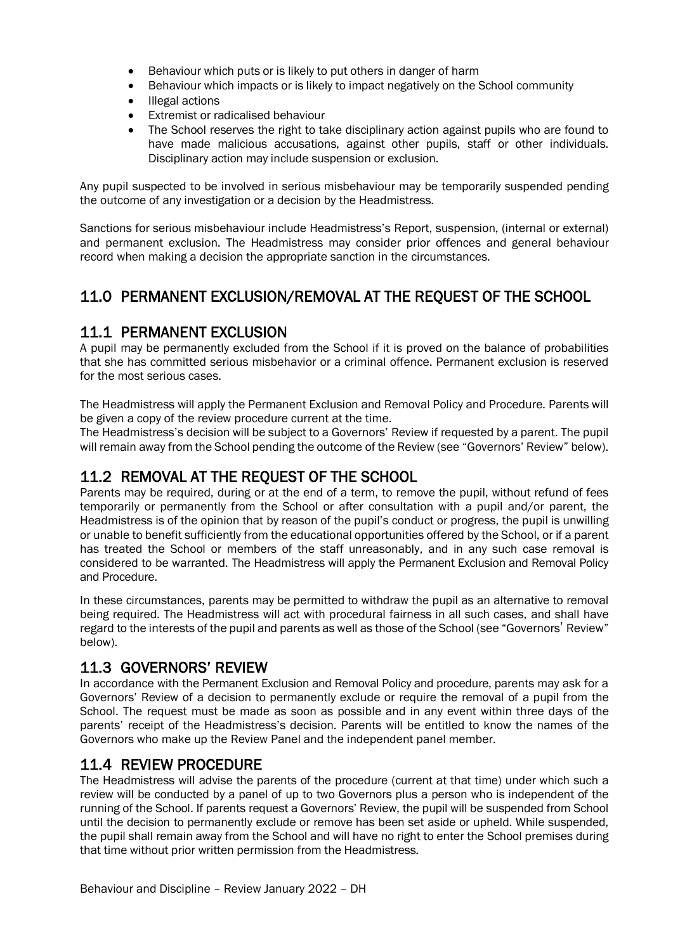- Behaviour which puts or is likely to put others in danger of harm
- Behaviour which impacts or is likely to impact negatively on the School community
- Illegal actions
- Extremist or radicalised behaviour
- The School reserves the right to take disciplinary action against pupils who are found to have made malicious accusations, against other pupils, staff or other individuals. Disciplinary action may include suspension or exclusion.

Any pupil suspected to be involved in serious misbehaviour may be temporarily suspended pending the outcome of any investigation or a decision by the Headmistress.

Sanctions for serious misbehaviour include Headmistress's Report, suspension, (internal or external) and permanent exclusion. The Headmistress may consider prior offences and general behaviour record when making a decision the appropriate sanction in the circumstances.

## 11.0 PERMANENT EXCLUSION/REMOVAL AT THE REQUEST OF THE SCHOOL

11.1 PERMANENT EXCLUSION<br>A pupil may be permanently excluded from the School if it is proved on the balance of probabilities that she has committed serious misbehavior or a criminal offence. Permanent exclusion is reserved for the most serious cases.

The Headmistress will apply the Permanent Exclusion and Removal Policy and Procedure. Parents will be given a copy of the review procedure current at the time.

The Headmistress's decision will be subject to a Governors' Review if requested by a parent. The pupil will remain away from the School pending the outcome of the Review (see "Governors' Review" below).

**11.2 REMOVAL AT THE REQUEST OF THE SCHOOL**<br>Parents may be required, during or at the end of a term, to remove the pupil, without refund of fees temporarily or permanently from the School or after consultation with a pupil and/or parent, the Headmistress is of the opinion that by reason of the pupil's conduct or progress, the pupil is unwilling or unable to benefit sufficiently from the educational opportunities offered by the School, or if a parent has treated the School or members of the staff unreasonably, and in any such case removal is considered to be warranted. The Headmistress will apply the Permanent Exclusion and Removal Policy and Procedure.

In these circumstances, parents may be permitted to withdraw the pupil as an alternative to removal being required. The Headmistress will act with procedural fairness in all such cases, and shall have regard to the interests of the pupil and parents as well as those of the School (see "Governors' Review" below).

11.3 GOVERNORS' REVIEW<br>In accordance with the Permanent Exclusion and Removal Policy and procedure, parents may ask for a Governors' Review of a decision to permanently exclude or require the removal of a pupil from the School. The request must be made as soon as possible and in any event within three days of the parents' receipt of the Headmistress's decision. Parents will be entitled to know the names of the Governors who make up the Review Panel and the independent panel member.

11.4 REVIEW PROCEDURE<br>The Headmistress will advise the parents of the procedure (current at that time) under which such a review will be conducted by a panel of up to two Governors plus a person who is independent of the running of the School. If parents request a Governors' Review, the pupil will be suspended from School until the decision to permanently exclude or remove has been set aside or upheld. While suspended, the pupil shall remain away from the School and will have no right to enter the School premises during that time without prior written permission from the Headmistress.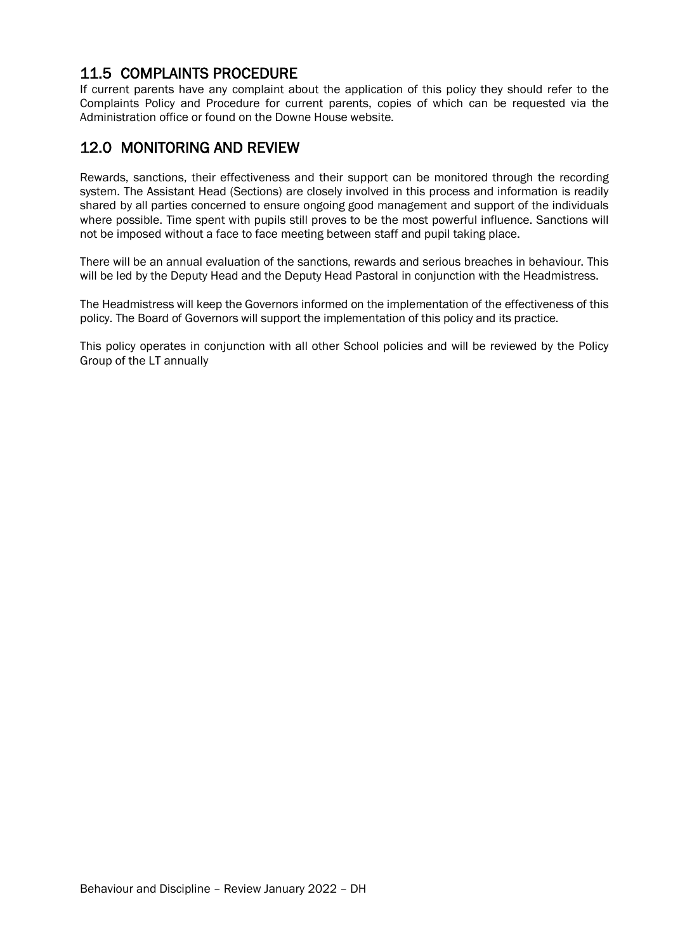## 11.5 COMPLAINTS PROCEDURE

If current parents have any complaint about the application of this policy they should refer to the Complaints Policy and Procedure for current parents, copies of which can be requested via the Administration office or found on the Downe House website.

## 12.0 MONITORING AND REVIEW

Rewards, sanctions, their effectiveness and their support can be monitored through the recording system. The Assistant Head (Sections) are closely involved in this process and information is readily shared by all parties concerned to ensure ongoing good management and support of the individuals where possible. Time spent with pupils still proves to be the most powerful influence. Sanctions will not be imposed without a face to face meeting between staff and pupil taking place.

There will be an annual evaluation of the sanctions, rewards and serious breaches in behaviour. This will be led by the Deputy Head and the Deputy Head Pastoral in conjunction with the Headmistress.

The Headmistress will keep the Governors informed on the implementation of the effectiveness of this policy. The Board of Governors will support the implementation of this policy and its practice.

This policy operates in conjunction with all other School policies and will be reviewed by the Policy Group of the LT annually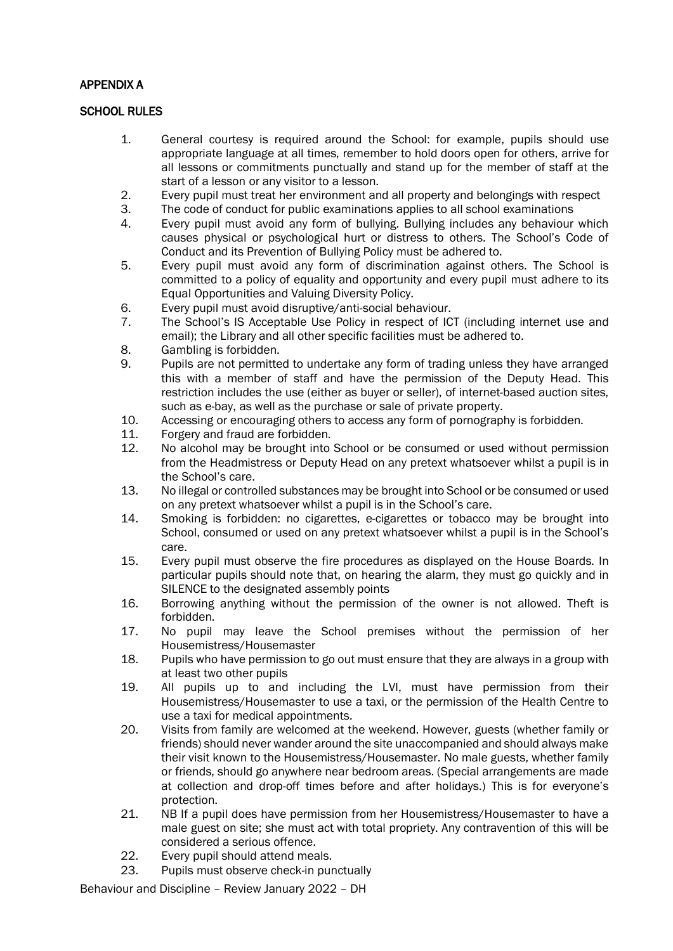#### APPENDIX A

#### SCHOOL RULES

- 1. General courtesy is required around the School: for example, pupils should use appropriate language at all times, remember to hold doors open for others, arrive for all lessons or commitments punctually and stand up for the member of staff at the start of a lesson or any visitor to a lesson.
- 2. Every pupil must treat her environment and all property and belongings with respect 3. The code of conduct for public examinations applies to all school examinations
- 3. The code of conduct for public examinations applies to all school examinations<br>4. Fyery pupil must avoid any form of bullying. Bullying includes any behaviour
- 4. Every pupil must avoid any form of bullying. Bullying includes any behaviour which causes physical or psychological hurt or distress to others. The School's Code of Conduct and its Prevention of Bullying Policy must be adhered to.
- 5. Every pupil must avoid any form of discrimination against others. The School is committed to a policy of equality and opportunity and every pupil must adhere to its Equal Opportunities and Valuing Diversity Policy.
- 6. Every pupil must avoid disruptive/anti-social behaviour.<br>7. The School's IS Acceptable Use Policy in respect of IC
- The School's IS Acceptable Use Policy in respect of ICT (including internet use and email); the Library and all other specific facilities must be adhered to.
- 8. Gambling is forbidden.<br>9. Pupils are not permitte
- Pupils are not permitted to undertake any form of trading unless they have arranged this with a member of staff and have the permission of the Deputy Head. This restriction includes the use (either as buyer or seller), of internet-based auction sites, such as e-bay, as well as the purchase or sale of private property.
- 10. Accessing or encouraging others to access any form of pornography is forbidden.
- 11. Forgery and fraud are forbidden.
- 12. No alcohol may be brought into School or be consumed or used without permission from the Headmistress or Deputy Head on any pretext whatsoever whilst a pupil is in the School's care.
- 13. No illegal or controlled substances may be brought into School or be consumed or used on any pretext whatsoever whilst a pupil is in the School's care.
- 14. Smoking is forbidden: no cigarettes, e-cigarettes or tobacco may be brought into School, consumed or used on any pretext whatsoever whilst a pupil is in the School's care.
- 15. Every pupil must observe the fire procedures as displayed on the House Boards. In particular pupils should note that, on hearing the alarm, they must go quickly and in SILENCE to the designated assembly points
- 16. Borrowing anything without the permission of the owner is not allowed. Theft is forbidden.
- 17. No pupil may leave the School premises without the permission of her Housemistress/Housemaster
- 18. Pupils who have permission to go out must ensure that they are always in a group with at least two other pupils
- 19. All pupils up to and including the LVI, must have permission from their Housemistress/Housemaster to use a taxi, or the permission of the Health Centre to use a taxi for medical appointments.
- 20. Visits from family are welcomed at the weekend. However, guests (whether family or friends) should never wander around the site unaccompanied and should always make their visit known to the Housemistress/Housemaster. No male guests, whether family or friends, should go anywhere near bedroom areas. (Special arrangements are made at collection and drop-off times before and after holidays.) This is for everyone's protection.
- 21. NB If a pupil does have permission from her Housemistress/Housemaster to have a male guest on site; she must act with total propriety. Any contravention of this will be considered a serious offence.
- 22. Every pupil should attend meals.<br>23. Pupils must observe check-in pur
- Pupils must observe check-in punctually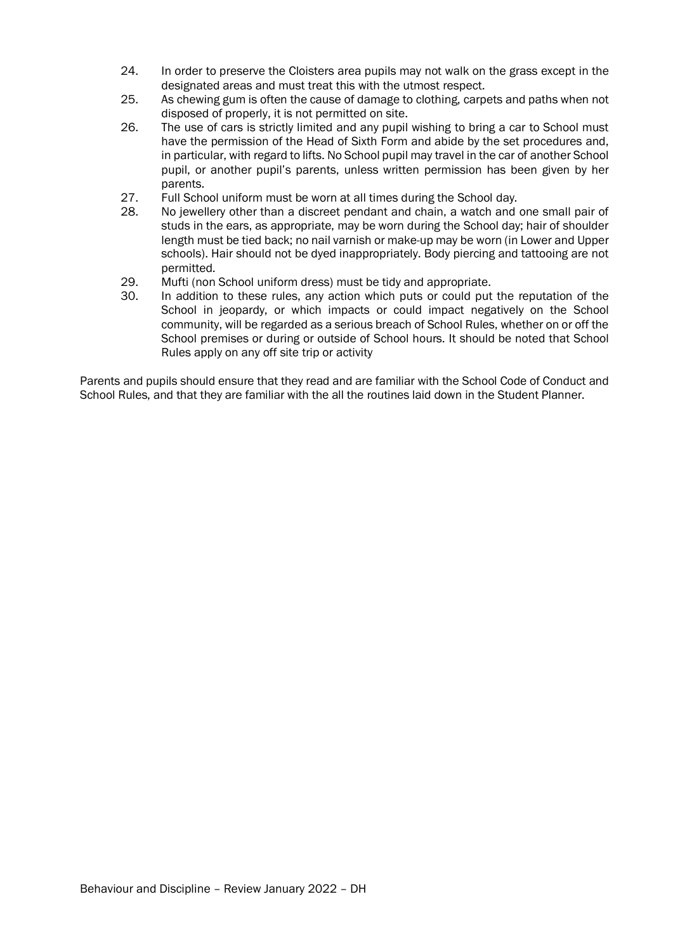- 24. In order to preserve the Cloisters area pupils may not walk on the grass except in the designated areas and must treat this with the utmost respect.
- 25. As chewing gum is often the cause of damage to clothing, carpets and paths when not disposed of properly, it is not permitted on site.
- 26. The use of cars is strictly limited and any pupil wishing to bring a car to School must have the permission of the Head of Sixth Form and abide by the set procedures and, in particular, with regard to lifts. No School pupil may travel in the car of another School pupil, or another pupil's parents, unless written permission has been given by her parents.
- 27. Full School uniform must be worn at all times during the School day.
- 28. No jewellery other than a discreet pendant and chain, a watch and one small pair of studs in the ears, as appropriate, may be worn during the School day; hair of shoulder length must be tied back; no nail varnish or make-up may be worn (in Lower and Upper schools). Hair should not be dyed inappropriately. Body piercing and tattooing are not permitted.
- 29. Mufti (non School uniform dress) must be tidy and appropriate.
- 30. In addition to these rules, any action which puts or could put the reputation of the School in jeopardy, or which impacts or could impact negatively on the School community, will be regarded as a serious breach of School Rules, whether on or off the School premises or during or outside of School hours. It should be noted that School Rules apply on any off site trip or activity

Parents and pupils should ensure that they read and are familiar with the School Code of Conduct and School Rules, and that they are familiar with the all the routines laid down in the Student Planner.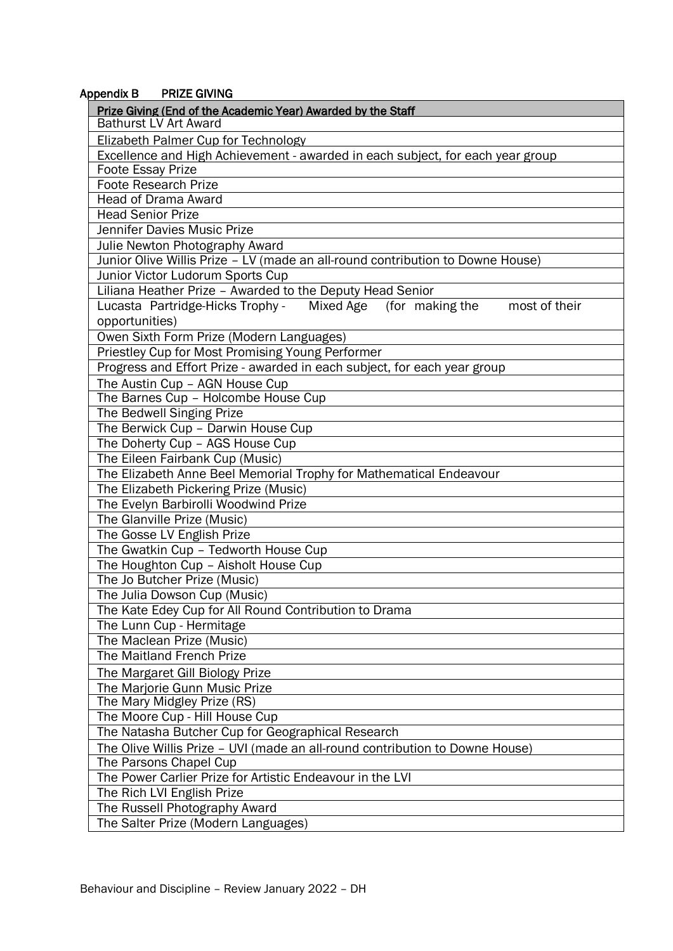#### Appendix B PRIZE GIVING

| Prize Giving (End of the Academic Year) Awarded by the Staff<br><b>Bathurst LV Art Award</b> |  |  |  |  |  |
|----------------------------------------------------------------------------------------------|--|--|--|--|--|
| Elizabeth Palmer Cup for Technology                                                          |  |  |  |  |  |
| Excellence and High Achievement - awarded in each subject, for each year group               |  |  |  |  |  |
| <b>Foote Essay Prize</b>                                                                     |  |  |  |  |  |
| <b>Foote Research Prize</b>                                                                  |  |  |  |  |  |
| <b>Head of Drama Award</b>                                                                   |  |  |  |  |  |
| <b>Head Senior Prize</b>                                                                     |  |  |  |  |  |
| Jennifer Davies Music Prize                                                                  |  |  |  |  |  |
| Julie Newton Photography Award                                                               |  |  |  |  |  |
| Junior Olive Willis Prize - LV (made an all-round contribution to Downe House)               |  |  |  |  |  |
| Junior Victor Ludorum Sports Cup                                                             |  |  |  |  |  |
| Liliana Heather Prize - Awarded to the Deputy Head Senior                                    |  |  |  |  |  |
| Lucasta Partridge-Hicks Trophy -<br>Mixed Age (for making the<br>most of their               |  |  |  |  |  |
| opportunities)                                                                               |  |  |  |  |  |
| Owen Sixth Form Prize (Modern Languages)                                                     |  |  |  |  |  |
| Priestley Cup for Most Promising Young Performer                                             |  |  |  |  |  |
| Progress and Effort Prize - awarded in each subject, for each year group                     |  |  |  |  |  |
| The Austin Cup - AGN House Cup                                                               |  |  |  |  |  |
| The Barnes Cup - Holcombe House Cup                                                          |  |  |  |  |  |
| The Bedwell Singing Prize                                                                    |  |  |  |  |  |
| The Berwick Cup - Darwin House Cup                                                           |  |  |  |  |  |
| The Doherty Cup - AGS House Cup                                                              |  |  |  |  |  |
| The Eileen Fairbank Cup (Music)                                                              |  |  |  |  |  |
| The Elizabeth Anne Beel Memorial Trophy for Mathematical Endeavour                           |  |  |  |  |  |
| The Elizabeth Pickering Prize (Music)                                                        |  |  |  |  |  |
| The Evelyn Barbirolli Woodwind Prize                                                         |  |  |  |  |  |
| The Glanville Prize (Music)                                                                  |  |  |  |  |  |
| The Gosse LV English Prize                                                                   |  |  |  |  |  |
| The Gwatkin Cup - Tedworth House Cup                                                         |  |  |  |  |  |
| The Houghton Cup - Aisholt House Cup                                                         |  |  |  |  |  |
| The Jo Butcher Prize (Music)                                                                 |  |  |  |  |  |
| The Julia Dowson Cup (Music)                                                                 |  |  |  |  |  |
| The Kate Edey Cup for All Round Contribution to Drama                                        |  |  |  |  |  |
| The Lunn Cup - Hermitage                                                                     |  |  |  |  |  |
| The Maclean Prize (Music)                                                                    |  |  |  |  |  |
| The Maitland French Prize                                                                    |  |  |  |  |  |
| The Margaret Gill Biology Prize                                                              |  |  |  |  |  |
| The Marjorie Gunn Music Prize                                                                |  |  |  |  |  |
| The Mary Midgley Prize (RS)                                                                  |  |  |  |  |  |
| The Moore Cup - Hill House Cup                                                               |  |  |  |  |  |
| The Natasha Butcher Cup for Geographical Research                                            |  |  |  |  |  |
| The Olive Willis Prize - UVI (made an all-round contribution to Downe House)                 |  |  |  |  |  |
| The Parsons Chapel Cup                                                                       |  |  |  |  |  |
| The Power Carlier Prize for Artistic Endeavour in the LVI                                    |  |  |  |  |  |
| The Rich LVI English Prize                                                                   |  |  |  |  |  |
| The Russell Photography Award                                                                |  |  |  |  |  |
| The Salter Prize (Modern Languages)                                                          |  |  |  |  |  |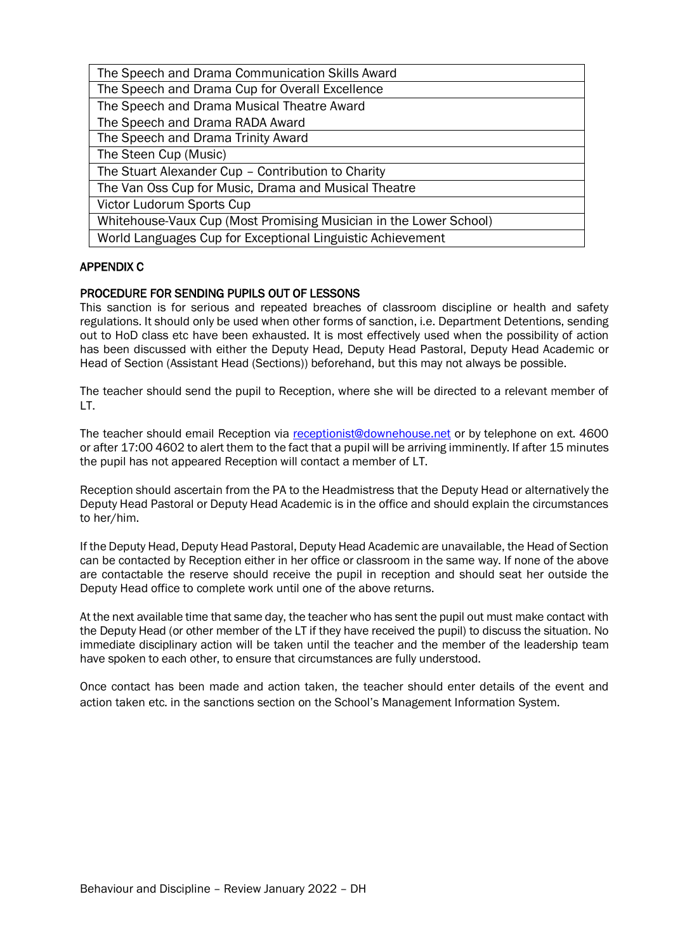| The Speech and Drama Communication Skills Award                   |  |  |  |  |
|-------------------------------------------------------------------|--|--|--|--|
| The Speech and Drama Cup for Overall Excellence                   |  |  |  |  |
| The Speech and Drama Musical Theatre Award                        |  |  |  |  |
| The Speech and Drama RADA Award                                   |  |  |  |  |
| The Speech and Drama Trinity Award                                |  |  |  |  |
| The Steen Cup (Music)                                             |  |  |  |  |
| The Stuart Alexander Cup - Contribution to Charity                |  |  |  |  |
| The Van Oss Cup for Music, Drama and Musical Theatre              |  |  |  |  |
| Victor Ludorum Sports Cup                                         |  |  |  |  |
| Whitehouse-Vaux Cup (Most Promising Musician in the Lower School) |  |  |  |  |
| World Languages Cup for Exceptional Linguistic Achievement        |  |  |  |  |

#### APPENDIX C

#### PROCEDURE FOR SENDING PUPILS OUT OF LESSONS

This sanction is for serious and repeated breaches of classroom discipline or health and safety regulations. It should only be used when other forms of sanction, i.e. Department Detentions, sending out to HoD class etc have been exhausted. It is most effectively used when the possibility of action has been discussed with either the Deputy Head, Deputy Head Pastoral, Deputy Head Academic or Head of Section (Assistant Head (Sections)) beforehand, but this may not always be possible.

The teacher should send the pupil to Reception, where she will be directed to a relevant member of LT.

The teacher should email Reception via receptionist@downehouse.net or by telephone on ext. 4600 or after 17:00 4602 to alert them to the fact that a pupil will be arriving imminently. If after 15 minutes the pupil has not appeared Reception will contact a member of LT.

Reception should ascertain from the PA to the Headmistress that the Deputy Head or alternatively the Deputy Head Pastoral or Deputy Head Academic is in the office and should explain the circumstances to her/him.

If the Deputy Head, Deputy Head Pastoral, Deputy Head Academic are unavailable, the Head of Section can be contacted by Reception either in her office or classroom in the same way. If none of the above are contactable the reserve should receive the pupil in reception and should seat her outside the Deputy Head office to complete work until one of the above returns.

At the next available time that same day, the teacher who has sent the pupil out must make contact with the Deputy Head (or other member of the LT if they have received the pupil) to discuss the situation. No immediate disciplinary action will be taken until the teacher and the member of the leadership team have spoken to each other, to ensure that circumstances are fully understood.

Once contact has been made and action taken, the teacher should enter details of the event and action taken etc. in the sanctions section on the School's Management Information System.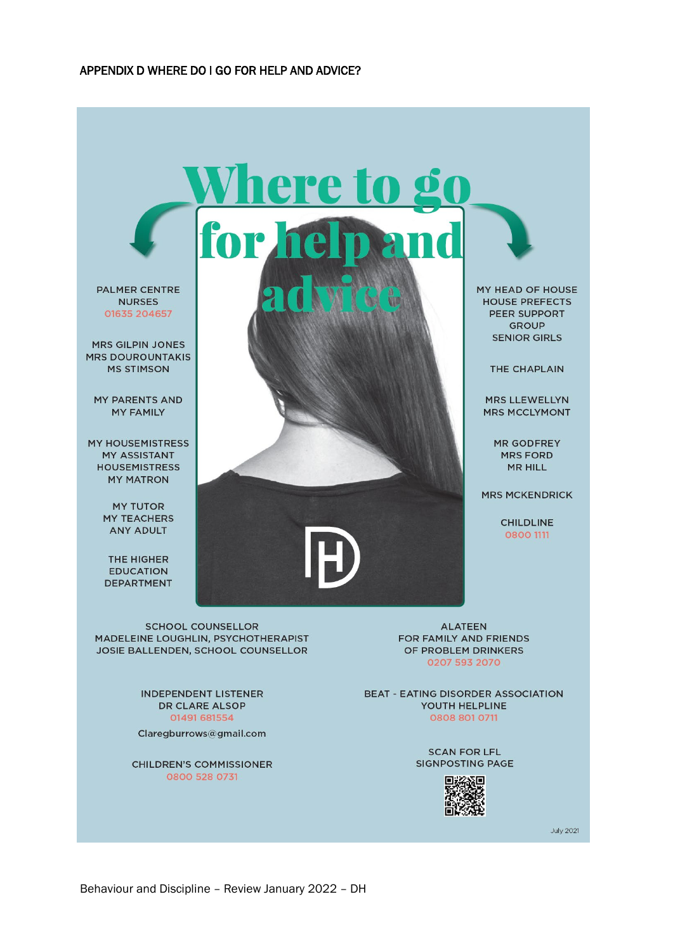